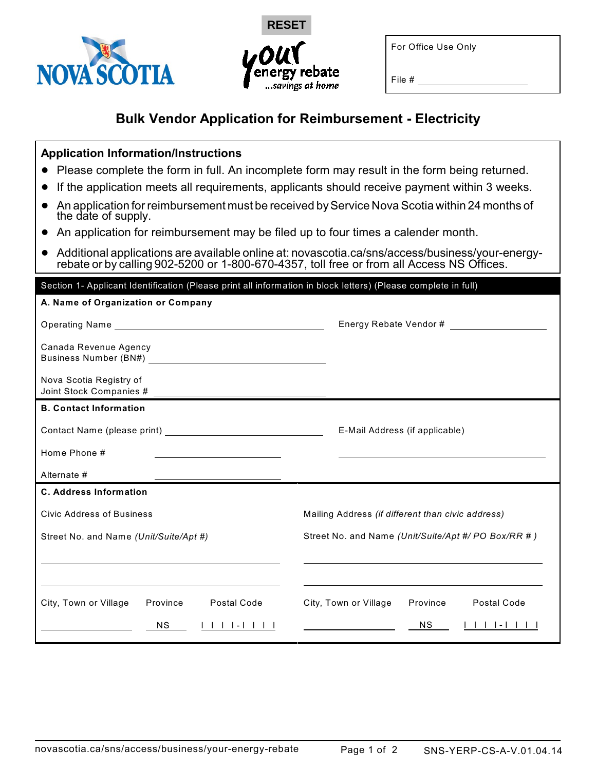



For Office Use Only

File #

## **Bulk Vendor Application for Reimbursement - Electricity**

## **Application Information/Instructions**

- ! Please complete the form in full. An incomplete form may result in the form being returned.
- ! If the application meets all requirements, applicants should receive payment within 3 weeks.
- ! An application for reimbursement must be received by Service Nova Scotia within 24 months of the date of supply.
- ! An application for reimbursement may be filed up to four times a calender month.
- ! Additional applications are available online at: novascotia.ca/sns/access/business/your-energyrebate or by calling 902-5200 or 1-800-670-4357, toll free or from all Access NS Offices.

| Section 1- Applicant Identification (Please print all information in block letters) (Please complete in full) |                                                     |  |  |  |  |  |
|---------------------------------------------------------------------------------------------------------------|-----------------------------------------------------|--|--|--|--|--|
| A. Name of Organization or Company                                                                            |                                                     |  |  |  |  |  |
|                                                                                                               | Energy Rebate Vendor #                              |  |  |  |  |  |
| Canada Revenue Agency                                                                                         |                                                     |  |  |  |  |  |
| Nova Scotia Registry of                                                                                       |                                                     |  |  |  |  |  |
| <b>B. Contact Information</b>                                                                                 |                                                     |  |  |  |  |  |
|                                                                                                               | E-Mail Address (if applicable)                      |  |  |  |  |  |
| Home Phone #<br>the contract of the contract of the contract of the contract of the contract of               |                                                     |  |  |  |  |  |
| Alternate #                                                                                                   |                                                     |  |  |  |  |  |
| <b>C. Address Information</b>                                                                                 |                                                     |  |  |  |  |  |
| <b>Civic Address of Business</b>                                                                              | Mailing Address (if different than civic address)   |  |  |  |  |  |
| Street No. and Name (Unit/Suite/Apt #)                                                                        | Street No. and Name (Unit/Suite/Apt #/ PO Box/RR #) |  |  |  |  |  |
|                                                                                                               |                                                     |  |  |  |  |  |
|                                                                                                               |                                                     |  |  |  |  |  |
| Postal Code<br>City, Town or Village<br>Province                                                              | City, Town or Village<br>Postal Code<br>Province    |  |  |  |  |  |
| <b>NS</b>                                                                                                     | <b>NS</b>                                           |  |  |  |  |  |